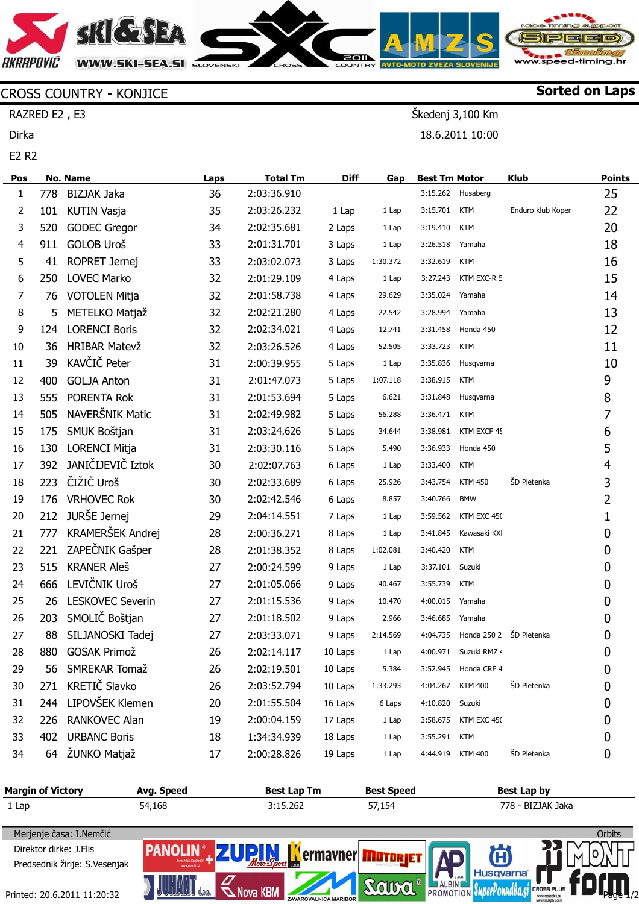## SHGSEA AKRAPOVIĆ www.speed-timing.hr **WWW.SKI-SEA.SI** SLOVENSKI

Sorted on Laps

Page 1/2

Škedenj 3,100 Km

18.6.2011 10:00

## CROSS COUNTRY - KONJICE

RAZRED E2 , E3

Dirka

E2 R2

| Pos | <b>No. Name</b> |                         | Laps |             | <b>Total Tm</b><br><b>Diff</b> | Gap      | <b>Best Tm Motor</b> |                       | Klub              | <b>Points</b> |
|-----|-----------------|-------------------------|------|-------------|--------------------------------|----------|----------------------|-----------------------|-------------------|---------------|
| 1   | 778             | <b>BIZJAK Jaka</b>      | 36   | 2:03:36.910 |                                |          |                      | 3:15.262 Husaberg     |                   | 25            |
| 2   | 101             | <b>KUTIN Vasja</b>      | 35   | 2:03:26.232 | 1 Lap                          | 1 Lap    | 3:15.701             | <b>KTM</b>            | Enduro klub Koper | 22            |
| 3   | 520             | <b>GODEC Gregor</b>     | 34   | 2:02:35.681 | 2 Laps                         | 1 Lap    | 3:19.410             | <b>KTM</b>            |                   | 20            |
| 4   | 911             | <b>GOLOB Uroš</b>       | 33   | 2:01:31.701 | 3 Laps                         | 1 Lap    | 3:26.518             | Yamaha                |                   | 18            |
| 5   | 41              | ROPRET Jernej           | 33   | 2:03:02.073 | 3 Laps                         | 1:30.372 | 3:32.619             | <b>KTM</b>            |                   | 16            |
| 6   | 250             | <b>LOVEC Marko</b>      | 32   | 2:01:29.109 | 4 Laps                         | 1 Lap    | 3:27.243             | KTM EXC-R 5           |                   | 15            |
| 7   |                 | 76 VOTOLEN Mitja        | 32   | 2:01:58.738 | 4 Laps                         | 29.629   | 3:35.024             | Yamaha                |                   | 14            |
| 8   | 5               | METELKO Matjaž          | 32   | 2:02:21.280 | 4 Laps                         | 22.542   | 3:28.994             | Yamaha                |                   | 13            |
| 9   | 124             | <b>LORENCI Boris</b>    | 32   | 2:02:34.021 | 4 Laps                         | 12.741   | 3:31.458             | Honda 450             |                   | 12            |
| 10  | 36              | <b>HRIBAR Matevž</b>    | 32   | 2:03:26.526 | 4 Laps                         | 52.505   | 3:33.723             | <b>KTM</b>            |                   | 11            |
| 11  | 39              | KAVČIČ Peter            | 31   | 2:00:39.955 | 5 Laps                         | 1 Lap    | 3:35.836             | Husqvarna             |                   | 10            |
| 12  | 400             | <b>GOLJA Anton</b>      | 31   | 2:01:47.073 | 5 Laps                         | 1:07.118 | 3:38.915             | <b>KTM</b>            |                   | 9             |
| 13  | 555             | PORENTA Rok             | 31   | 2:01:53.694 | 5 Laps                         | 6.621    | 3:31.848             | Husqvarna             |                   | 8             |
| 14  | 505             | NAVERŠNIK Matic         | 31   | 2:02:49.982 | 5 Laps                         | 56.288   | 3:36.471             | <b>KTM</b>            |                   | 7             |
| 15  | 175             | SMUK Boštjan            | 31   | 2:03:24.626 | 5 Laps                         | 34.644   | 3:38.981             | KTM EXCF 4!           |                   | 6             |
| 16  | 130             | <b>LORENCI Mitja</b>    | 31   | 2:03:30.116 | 5 Laps                         | 5.490    | 3:36.933             | Honda 450             |                   | 5             |
| 17  | 392             | JANIČIJEVIČ Iztok       | 30   | 2:02:07.763 | 6 Laps                         | 1 Lap    | 3:33.400             | <b>KTM</b>            |                   | 4             |
| 18  | 223             | ČIŽIČ Uroš              | 30   | 2:02:33.689 | 6 Laps                         | 25.926   | 3:43.754             | <b>KTM 450</b>        | ŠD Pletenka       | 3             |
| 19  | 176             | <b>VRHOVEC Rok</b>      | 30   | 2:02:42.546 | 6 Laps                         | 8.857    | 3:40.766             | <b>BMW</b>            |                   | 2             |
| 20  | 212             | JURŠE Jernej            | 29   | 2:04:14.551 | 7 Laps                         | 1 Lap    | 3:59.562             | KTM EXC 450           |                   | 1             |
| 21  | 777             | KRAMERŠEK Andrej        | 28   | 2:00:36.271 | 8 Laps                         | 1 Lap    | 3:41.845             | Kawasaki KX           |                   | 0             |
| 22  | 221             | ZAPEČNIK Gašper         | 28   | 2:01:38.352 | 8 Laps                         | 1:02.081 | 3:40.420             | <b>KTM</b>            |                   | 0             |
| 23  | 515             | <b>KRANER Aleš</b>      | 27   | 2:00:24.599 | 9 Laps                         | 1 Lap    | 3:37.101             | Suzuki                |                   | 0             |
| 24  | 666             | LEVIČNIK Uroš           | 27   | 2:01:05.066 | 9 Laps                         | 40.467   | 3:55.739             | <b>KTM</b>            |                   | 0             |
| 25  | 26              | <b>LESKOVEC Severin</b> | 27   | 2:01:15.536 | 9 Laps                         | 10.470   | 4:00.015             | Yamaha                |                   | 0             |
| 26  | 203             | SMOLIČ Boštjan          | 27   | 2:01:18.502 | 9 Laps                         | 2.966    | 3:46.685             | Yamaha                |                   | 0             |
| 27  | 88              | SILJANOSKI Tadej        | 27   | 2:03:33.071 | 9 Laps                         | 2:14.569 |                      | 4:04.735 Honda 250 2  | ŠD Pletenka       | 0             |
| 28  |                 | 880 GOSAK Primož        | 26   | 2:02:14.117 | 10 Laps                        | 1 Lap    |                      | 4:00.971 Suzuki RMZ · |                   | 0             |
| 29  | 56              | SMREKAR Tomaž           | 26   | 2:02:19.501 | 10 Laps                        | 5.384    |                      | 3:52.945 Honda CRF 4  |                   | 0             |
| 30  | 271             | KRETIČ Slavko           | 26   | 2:03:52.794 | 10 Laps                        | 1:33.293 | 4:04.267             | <b>KTM 400</b>        | ŠD Pletenka       | 0             |
| 31  | 244             | LIPOVŠEK Klemen         | 20   | 2:01:55.504 | 16 Laps                        | 6 Laps   | 4:10.820             | Suzuki                |                   | 0             |
| 32  | 226             | <b>RANKOVEC Alan</b>    | 19   | 2:00:04.159 | 17 Laps                        | 1 Lap    | 3:58.675             | KTM EXC 450           |                   | 0             |
| 33  | 402             | <b>URBANC Boris</b>     | 18   | 1:34:34.939 | 18 Laps                        | 1 Lap    | 3:55.291 KTM         |                       |                   | 0             |
| 34  |                 | 64 ŽUNKO Matjaž         | 17   | 2:00:28.826 | 19 Laps                        | 1 Lap    |                      | 4:44.919 KTM 400      | ŠD Pletenka       | 0             |

| <b>Margin of Victory</b>      | Avg. Speed                               | <b>Best Lap Tm</b>           | <b>Best Speed</b> | <b>Best Lap by</b>                                                                                                           |
|-------------------------------|------------------------------------------|------------------------------|-------------------|------------------------------------------------------------------------------------------------------------------------------|
| 1 Lap                         | 54,168                                   | 3:15.262                     | 57,154            | 778 - BIZJAK Jaka                                                                                                            |
| Merjenje časa: I.Nemčić       |                                          |                              |                   | <b>Orbits</b>                                                                                                                |
| Direktor dirke: J.Flis        |                                          | <b>ermavner</b>              |                   | ö                                                                                                                            |
| Predsednik žirije: S.Vesenjak | Swiss High-Quality Oil<br>www.panolin.si |                              |                   |                                                                                                                              |
| Printed: 20.6.2011 11:20:32   |                                          | <b>ZAVAROVALNICA MARIBOR</b> |                   | <b>Husqvarna</b><br>d.0.0.<br><b>ALBIN</b><br><b>CROSS PLUS</b><br><b>PROMOTION</b><br>www.crossolus.eu<br>www.krossolus.com |